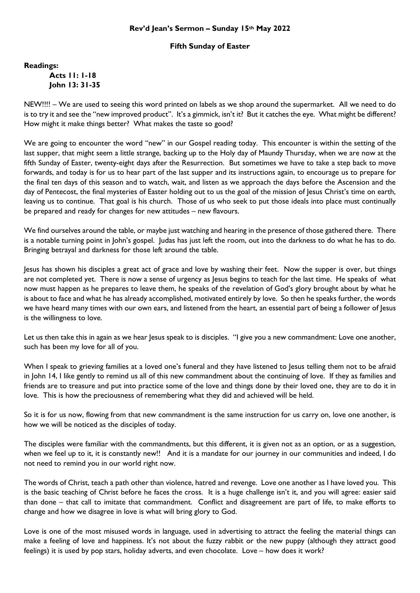## **Rev'd Jean's Sermon – Sunday 15th May 2022**

## **Fifth Sunday of Easter**

**Readings:**

**Acts 11: 1-18 John 13: 31-35**

NEW!!!! – We are used to seeing this word printed on labels as we shop around the supermarket. All we need to do is to try it and see the "new improved product". It's a gimmick, isn't it? But it catches the eye. What might be different? How might it make things better? What makes the taste so good?

We are going to encounter the word "new" in our Gospel reading today. This encounter is within the setting of the last supper, that might seem a little strange, backing up to the Holy day of Maundy Thursday, when we are now at the fifth Sunday of Easter, twenty-eight days after the Resurrection. But sometimes we have to take a step back to move forwards, and today is for us to hear part of the last supper and its instructions again, to encourage us to prepare for the final ten days of this season and to watch, wait, and listen as we approach the days before the Ascension and the day of Pentecost, the final mysteries of Easter holding out to us the goal of the mission of Jesus Christ's time on earth, leaving us to continue. That goal is his church. Those of us who seek to put those ideals into place must continually be prepared and ready for changes for new attitudes – new flavours.

We find ourselves around the table, or maybe just watching and hearing in the presence of those gathered there. There is a notable turning point in John's gospel. Judas has just left the room, out into the darkness to do what he has to do. Bringing betrayal and darkness for those left around the table.

Jesus has shown his disciples a great act of grace and love by washing their feet. Now the supper is over, but things are not completed yet. There is now a sense of urgency as Jesus begins to teach for the last time. He speaks of what now must happen as he prepares to leave them, he speaks of the revelation of God's glory brought about by what he is about to face and what he has already accomplished, motivated entirely by love. So then he speaks further, the words we have heard many times with our own ears, and listened from the heart, an essential part of being a follower of Jesus is the willingness to love.

Let us then take this in again as we hear Jesus speak to is disciples. "I give you a new commandment: Love one another, such has been my love for all of you.

When I speak to grieving families at a loved one's funeral and they have listened to Jesus telling them not to be afraid in John 14, I like gently to remind us all of this new commandment about the continuing of love. If they as families and friends are to treasure and put into practice some of the love and things done by their loved one, they are to do it in love. This is how the preciousness of remembering what they did and achieved will be held.

So it is for us now, flowing from that new commandment is the same instruction for us carry on, love one another, is how we will be noticed as the disciples of today.

The disciples were familiar with the commandments, but this different, it is given not as an option, or as a suggestion, when we feel up to it, it is constantly new!! And it is a mandate for our journey in our communities and indeed, I do not need to remind you in our world right now.

The words of Christ, teach a path other than violence, hatred and revenge. Love one another as I have loved you. This is the basic teaching of Christ before he faces the cross. It is a huge challenge isn't it, and you will agree: easier said than done – that call to imitate that commandment. Conflict and disagreement are part of life, to make efforts to change and how we disagree in love is what will bring glory to God.

Love is one of the most misused words in language, used in advertising to attract the feeling the material things can make a feeling of love and happiness. It's not about the fuzzy rabbit or the new puppy (although they attract good feelings) it is used by pop stars, holiday adverts, and even chocolate. Love – how does it work?